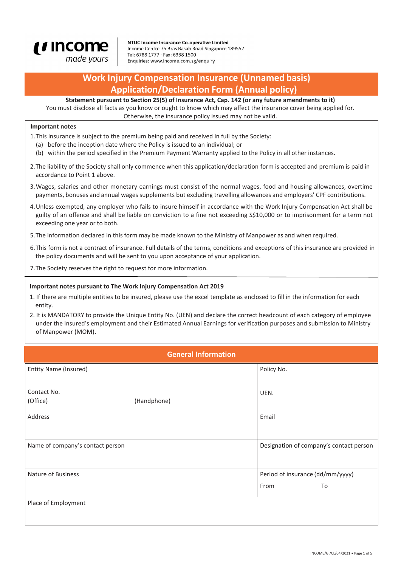

NTUC Income Insurance Co-operative Limited Income Centre 75 Bras Basah Road Singapore 189557 Tel: 6788 1777 · Fax: 6338 1500 Enquiries: www.income.com.sg/enquiry

# **Work Injury Compensation Insurance (Unnamed basis) Application/Declaration Form (Annual policy)**

**Statement pursuant to Section 25(5) of Insurance Act, Cap. 142 (or any future amendments to it)**

You must disclose all facts as you know or ought to know which may affect the insurance cover being applied for. Otherwise, the insurance policy issued may not be valid.

#### **Important notes**

- 1.This insurance is subject to the premium being paid and received in full by the Society:
	- (a) before the inception date where the Policy is issued to an individual; or
	- (b) within the period specified in the Premium Payment Warranty applied to the Policy in all other instances.
- 2.The liability of the Society shall only commence when this application/declaration form is accepted and premium is paid in accordance to Point 1 above.
- 3.Wages, salaries and other monetary earnings must consist of the normal wages, food and housing allowances, overtime payments, bonuses and annual wages supplements but excluding travelling allowances and employers' CPF contributions.
- 4.Unless exempted, any employer who fails to insure himself in accordance with the Work Injury Compensation Act shall be guilty of an offence and shall be liable on conviction to a fine not exceeding S\$10,000 or to imprisonment for a term not exceeding one year or to both.
- 5.The information declared in this form may be made known to the Ministry of Manpower as and when required.
- 6.This form is not a contract of insurance. Full details of the terms, conditions and exceptions of this insurance are provided in the policy documents and will be sent to you upon acceptance of your application.
- 7.The Society reserves the right to request for more information.

#### **Important notes pursuant to The Work Injury Compensation Act 2019**

- 1. If there are multiple entities to be insured, please use the excel template as enclosed to fill in the information for each entity.
- 2. It is MANDATORY to provide the Unique Entity No. (UEN) and declare the correct headcount of each category of employee under the Insured's employment and their Estimated Annual Earnings for verification purposes and submission to Ministry of Manpower (MOM).

| <b>General Information</b>       |             |                                         |    |  |
|----------------------------------|-------------|-----------------------------------------|----|--|
| Entity Name (Insured)            |             | Policy No.                              |    |  |
|                                  |             |                                         |    |  |
| Contact No.                      |             | UEN.                                    |    |  |
| (Office)                         | (Handphone) |                                         |    |  |
| Address                          |             | Email                                   |    |  |
|                                  |             |                                         |    |  |
| Name of company's contact person |             | Designation of company's contact person |    |  |
|                                  |             |                                         |    |  |
| Nature of Business               |             | Period of insurance (dd/mm/yyyy)        |    |  |
|                                  |             | From                                    | To |  |
| Place of Employment              |             |                                         |    |  |
|                                  |             |                                         |    |  |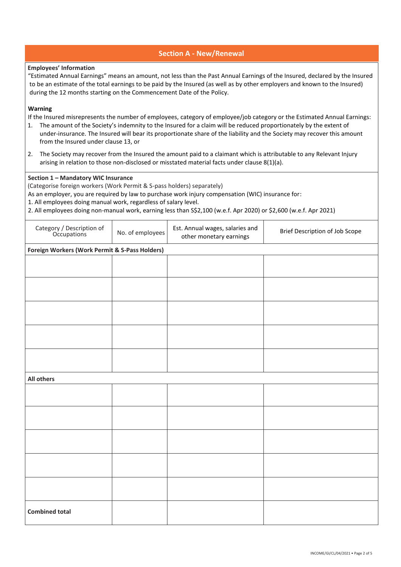## **Section A - New/Renewal**

#### **Employees' Information**

 "Estimated Annual Earnings" means an amount, not less than the Past Annual Earnings of the Insured, declared by the Insured to be an estimate of the total earnings to be paid by the Insured (as well as by other employers and known to the Insured) during the 12 months starting on the Commencement Date of the Policy.

#### **Warning**

If the Insured misrepresents the number of employees, category of employee/job category or the Estimated Annual Earnings:

- 1. The amount of the Society's indemnity to the Insured for a claim will be reduced proportionately by the extent of under-insurance. The Insured will bear its proportionate share of the liability and the Society may recover this amount from the Insured under clause 13, or
- 2. The Society may recover from the Insured the amount paid to a claimant which is attributable to any Relevant Injury arising in relation to those non-disclosed or misstated material facts under clause 8(1)(a).

#### **Section 1 – Mandatory WIC Insurance**

(Categorise foreign workers (Work Permit & S-pass holders) separately)

As an employer, you are required by law to purchase work injury compensation (WIC) insurance for:

1. All employees doing manual work, regardless of salary level.

2. All employees doing non-manual work, earning less than S\$2,100 (w.e.f. Apr 2020) or \$2,600 (w.e.f. Apr 2021)

| Category / Description of<br>Occupations       | No. of employees | Est. Annual wages, salaries and<br>other monetary earnings | Brief Description of Job Scope |  |  |
|------------------------------------------------|------------------|------------------------------------------------------------|--------------------------------|--|--|
| Foreign Workers (Work Permit & S-Pass Holders) |                  |                                                            |                                |  |  |
|                                                |                  |                                                            |                                |  |  |
|                                                |                  |                                                            |                                |  |  |
|                                                |                  |                                                            |                                |  |  |
|                                                |                  |                                                            |                                |  |  |
|                                                |                  |                                                            |                                |  |  |
| <b>All others</b>                              |                  |                                                            |                                |  |  |
|                                                |                  |                                                            |                                |  |  |
|                                                |                  |                                                            |                                |  |  |
|                                                |                  |                                                            |                                |  |  |
|                                                |                  |                                                            |                                |  |  |
|                                                |                  |                                                            |                                |  |  |
| <b>Combined total</b>                          |                  |                                                            |                                |  |  |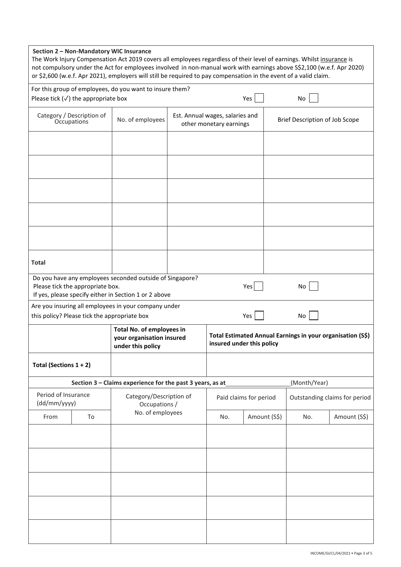### **Section 2 – Non-Mandatory WIC Insurance**

The Work Injury Compensation Act 2019 covers all employees regardless of their level of earnings. Whilst insurance is not compulsory under the Act for employees involved in non-manual work with earnings above S\$2,100 (w.e.f. Apr 2020) or \$2,600 (w.e.f. Apr 2021), employers will still be required to pay compensation in the event of a valid claim.

| For this group of employees, do you want to insure them?                                                                                                           |                                          |                                                                             |                                                            |                                                                                         |              |                                |              |
|--------------------------------------------------------------------------------------------------------------------------------------------------------------------|------------------------------------------|-----------------------------------------------------------------------------|------------------------------------------------------------|-----------------------------------------------------------------------------------------|--------------|--------------------------------|--------------|
| Please tick $(\checkmark)$ the appropriate box                                                                                                                     |                                          |                                                                             |                                                            | Yes                                                                                     | No           |                                |              |
|                                                                                                                                                                    | Category / Description of<br>Occupations | No. of employees                                                            | Est. Annual wages, salaries and<br>other monetary earnings |                                                                                         |              | Brief Description of Job Scope |              |
|                                                                                                                                                                    |                                          |                                                                             |                                                            |                                                                                         |              |                                |              |
|                                                                                                                                                                    |                                          |                                                                             |                                                            |                                                                                         |              |                                |              |
|                                                                                                                                                                    |                                          |                                                                             |                                                            |                                                                                         |              |                                |              |
|                                                                                                                                                                    |                                          |                                                                             |                                                            |                                                                                         |              |                                |              |
|                                                                                                                                                                    |                                          |                                                                             |                                                            |                                                                                         |              |                                |              |
| <b>Total</b>                                                                                                                                                       |                                          |                                                                             |                                                            |                                                                                         |              |                                |              |
| Do you have any employees seconded outside of Singapore?<br>Please tick the appropriate box.<br>Yes<br>No<br>If yes, please specify either in Section 1 or 2 above |                                          |                                                                             |                                                            |                                                                                         |              |                                |              |
|                                                                                                                                                                    |                                          | Are you insuring all employees in your company under                        |                                                            |                                                                                         |              |                                |              |
| this policy? Please tick the appropriate box                                                                                                                       |                                          |                                                                             |                                                            |                                                                                         | Yes          | No                             |              |
|                                                                                                                                                                    |                                          | Total No. of employees in<br>your organisation insured<br>under this policy |                                                            | Total Estimated Annual Earnings in your organisation (S\$)<br>insured under this policy |              |                                |              |
| Total (Sections $1 + 2$ )                                                                                                                                          |                                          |                                                                             |                                                            |                                                                                         |              |                                |              |
| Section 3 - Claims experience for the past 3 years, as at<br>(Month/Year)                                                                                          |                                          |                                                                             |                                                            |                                                                                         |              |                                |              |
| Period of Insurance<br>(dd/mm/yyyy)                                                                                                                                |                                          | Category/Description of<br>Occupations /                                    |                                                            | Paid claims for period                                                                  |              | Outstanding claims for period  |              |
| From                                                                                                                                                               | To                                       | No. of employees                                                            |                                                            | No.                                                                                     | Amount (S\$) | No.                            | Amount (S\$) |
|                                                                                                                                                                    |                                          |                                                                             |                                                            |                                                                                         |              |                                |              |
|                                                                                                                                                                    |                                          |                                                                             |                                                            |                                                                                         |              |                                |              |
|                                                                                                                                                                    |                                          |                                                                             |                                                            |                                                                                         |              |                                |              |
|                                                                                                                                                                    |                                          |                                                                             |                                                            |                                                                                         |              |                                |              |
|                                                                                                                                                                    |                                          |                                                                             |                                                            |                                                                                         |              |                                |              |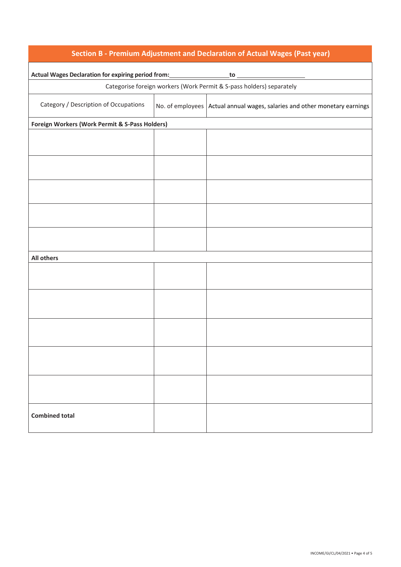| Section B - Premium Adjustment and Declaration of Actual Wages (Past year)                                                                   |  |                                                                            |  |  |
|----------------------------------------------------------------------------------------------------------------------------------------------|--|----------------------------------------------------------------------------|--|--|
| Actual Wages Declaration for expiring period from:<br>$\overbrace{\phantom{xxxxx}}^{\text{to}}$ to $\overbrace{\phantom{xxxxx}}^{\text{to}}$ |  |                                                                            |  |  |
|                                                                                                                                              |  | Categorise foreign workers (Work Permit & S-pass holders) separately       |  |  |
| Category / Description of Occupations                                                                                                        |  | No. of employees Actual annual wages, salaries and other monetary earnings |  |  |
| Foreign Workers (Work Permit & S-Pass Holders)                                                                                               |  |                                                                            |  |  |
|                                                                                                                                              |  |                                                                            |  |  |
|                                                                                                                                              |  |                                                                            |  |  |
|                                                                                                                                              |  |                                                                            |  |  |
|                                                                                                                                              |  |                                                                            |  |  |
|                                                                                                                                              |  |                                                                            |  |  |
| <b>All others</b>                                                                                                                            |  |                                                                            |  |  |
|                                                                                                                                              |  |                                                                            |  |  |
|                                                                                                                                              |  |                                                                            |  |  |
|                                                                                                                                              |  |                                                                            |  |  |
|                                                                                                                                              |  |                                                                            |  |  |
|                                                                                                                                              |  |                                                                            |  |  |
| <b>Combined total</b>                                                                                                                        |  |                                                                            |  |  |